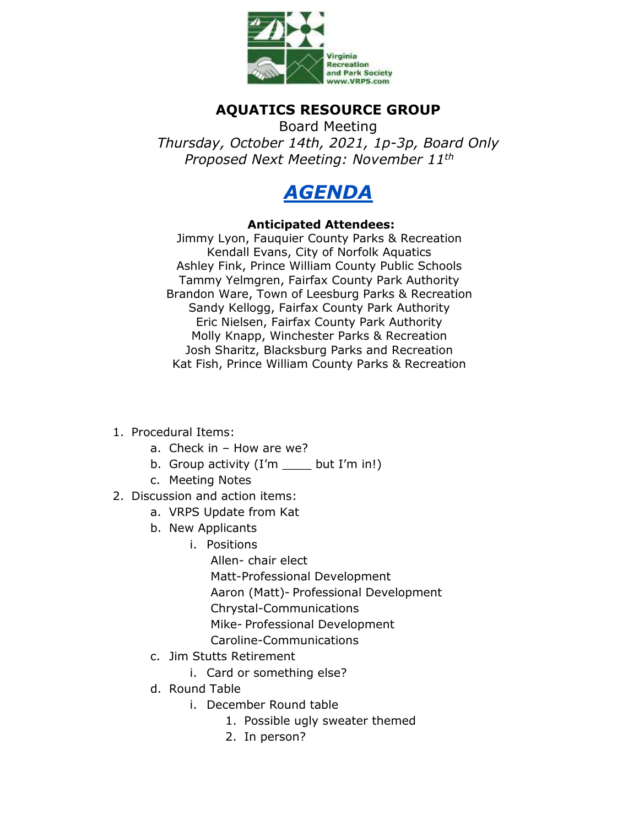

## **AQUATICS RESOURCE GROUP**

Board Meeting *Thursday, October 14th, 2021, 1p-3p, Board Only Proposed Next Meeting: November 11th*



## **Anticipated Attendees:**

Jimmy Lyon, Fauquier County Parks & Recreation Kendall Evans, City of Norfolk Aquatics Ashley Fink, Prince William County Public Schools Tammy Yelmgren, Fairfax County Park Authority Brandon Ware, Town of Leesburg Parks & Recreation Sandy Kellogg, Fairfax County Park Authority Eric Nielsen, Fairfax County Park Authority Molly Knapp, Winchester Parks & Recreation Josh Sharitz, Blacksburg Parks and Recreation Kat Fish, Prince William County Parks & Recreation

- 1. Procedural Items:
	- a. Check in How are we?
	- b. Group activity  $(I'm \_\_\_$  but  $I'm$  in!)
	- c. Meeting Notes
- 2. Discussion and action items:
	- a. VRPS Update from Kat
	- b. New Applicants
		- i. Positions
			- Allen- chair elect Matt-Professional Development Aaron (Matt)- Professional Development Chrystal-Communications Mike- Professional Development Caroline-Communications
	- c. Jim Stutts Retirement
		- i. Card or something else?
	- d. Round Table
		- i. December Round table
			- 1. Possible ugly sweater themed
			- 2. In person?